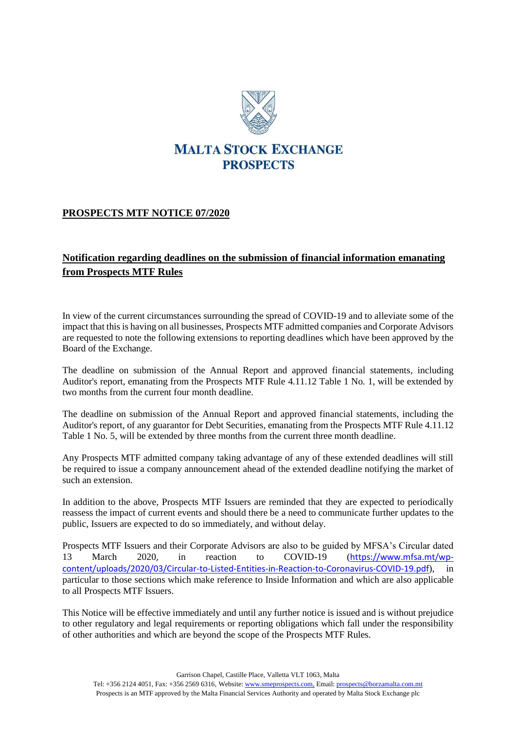

## **MALTA STOCK EXCHANGE PROSPECTS**

## **PROSPECTS MTF NOTICE 07/2020**

## **Notification regarding deadlines on the submission of financial information emanating from Prospects MTF Rules**

In view of the current circumstances surrounding the spread of COVID-19 and to alleviate some of the impact that this is having on all businesses, Prospects MTF admitted companies and Corporate Advisors are requested to note the following extensions to reporting deadlines which have been approved by the Board of the Exchange.

The deadline on submission of the Annual Report and approved financial statements, including Auditor's report, emanating from the Prospects MTF Rule 4.11.12 Table 1 No. 1, will be extended by two months from the current four month deadline.

The deadline on submission of the Annual Report and approved financial statements, including the Auditor's report, of any guarantor for Debt Securities, emanating from the Prospects MTF Rule 4.11.12 Table 1 No. 5, will be extended by three months from the current three month deadline.

Any Prospects MTF admitted company taking advantage of any of these extended deadlines will still be required to issue a company announcement ahead of the extended deadline notifying the market of such an extension.

In addition to the above, Prospects MTF Issuers are reminded that they are expected to periodically reassess the impact of current events and should there be a need to communicate further updates to the public, Issuers are expected to do so immediately, and without delay.

Prospects MTF Issuers and their Corporate Advisors are also to be guided by MFSA's Circular dated 13 March 2020, in reaction to COVID-19 ([https://www.mfsa.mt/wp](https://www.mfsa.mt/wp-content/uploads/2020/03/Circular-to-Listed-Entities-in-Reaction-to-Coronavirus-COVID-19.pdf)[content/uploads/2020/03/Circular-to-Listed-Entities-in-Reaction-to-Coronavirus-COVID-19.pdf](https://www.mfsa.mt/wp-content/uploads/2020/03/Circular-to-Listed-Entities-in-Reaction-to-Coronavirus-COVID-19.pdf)), in particular to those sections which make reference to Inside Information and which are also applicable to all Prospects MTF Issuers.

This Notice will be effective immediately and until any further notice is issued and is without prejudice to other regulatory and legal requirements or reporting obligations which fall under the responsibility of other authorities and which are beyond the scope of the Prospects MTF Rules.

Garrison Chapel, Castille Place, Valletta VLT 1063, Malta